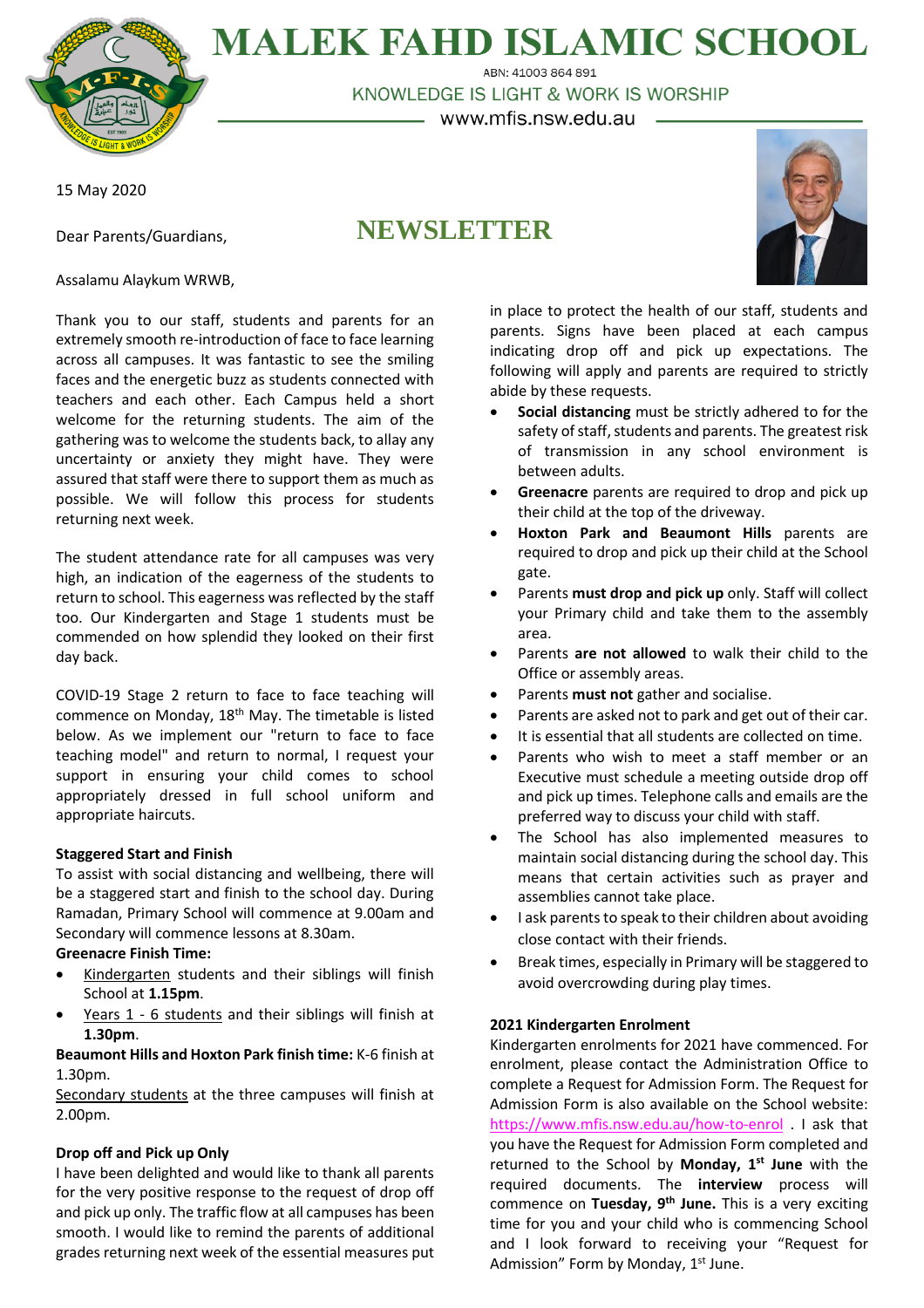

**MALEK FAHD ISLAMIC SCHOOL** ABN: 41003 864 891

KNOWLEDGE IS LIGHT & WORK IS WORSHIP

– www.mfis.nsw.edu.au –

15 May 2020

Dear Parents/Guardians,

# **NEWSLETTER**



Assalamu Alaykum WRWB,

Thank you to our staff, students and parents for an extremely smooth re-introduction of face to face learning across all campuses. It was fantastic to see the smiling faces and the energetic buzz as students connected with teachers and each other. Each Campus held a short welcome for the returning students. The aim of the gathering was to welcome the students back, to allay any uncertainty or anxiety they might have. They were assured that staff were there to support them as much as possible. We will follow this process for students returning next week.

The student attendance rate for all campuses was very high, an indication of the eagerness of the students to return to school. This eagerness was reflected by the staff too. Our Kindergarten and Stage 1 students must be commended on how splendid they looked on their first day back.

COVID-19 Stage 2 return to face to face teaching will commence on Monday, 18<sup>th</sup> May. The timetable is listed below. As we implement our "return to face to face teaching model" and return to normal, I request your support in ensuring your child comes to school appropriately dressed in full school uniform and appropriate haircuts.

# **Staggered Start and Finish**

To assist with social distancing and wellbeing, there will be a staggered start and finish to the school day. During Ramadan, Primary School will commence at 9.00am and Secondary will commence lessons at 8.30am.

**Greenacre Finish Time:**

- Kindergarten students and their siblings will finish School at **1.15pm**.
- Years 1 6 students and their siblings will finish at **1.30pm**.

**Beaumont Hills and Hoxton Park finish time:** K-6 finish at 1.30pm.

Secondary students at the three campuses will finish at 2.00pm.

# **Drop off and Pick up Only**

I have been delighted and would like to thank all parents for the very positive response to the request of drop off and pick up only. The traffic flow at all campuses has been smooth. I would like to remind the parents of additional grades returning next week of the essential measures put

in place to protect the health of our staff, students and parents. Signs have been placed at each campus indicating drop off and pick up expectations. The following will apply and parents are required to strictly abide by these requests.

- **Social distancing** must be strictly adhered to for the safety of staff, students and parents. The greatest risk of transmission in any school environment is between adults.
- **Greenacre** parents are required to drop and pick up their child at the top of the driveway.
- **Hoxton Park and Beaumont Hills** parents are required to drop and pick up their child at the School gate.
- Parents **must drop and pick up** only. Staff will collect your Primary child and take them to the assembly area.
- Parents **are not allowed** to walk their child to the Office or assembly areas.
- Parents **must not** gather and socialise.
- Parents are asked not to park and get out of their car.
- It is essential that all students are collected on time.
- Parents who wish to meet a staff member or an Executive must schedule a meeting outside drop off and pick up times. Telephone calls and emails are the preferred way to discuss your child with staff.
- The School has also implemented measures to maintain social distancing during the school day. This means that certain activities such as prayer and assemblies cannot take place.
- I ask parents to speak to their children about avoiding close contact with their friends.
- Break times, especially in Primary will be staggered to avoid overcrowding during play times.

# **2021 Kindergarten Enrolment**

Kindergarten enrolments for 2021 have commenced. For enrolment, please contact the Administration Office to complete a Request for Admission Form. The Request for Admission Form is also available on the School website: <https://www.mfis.nsw.edu.au/how-to-enrol> . I ask that you have the Request for Admission Form completed and returned to the School by **Monday, 1 st June** with the required documents. The **interview** process will commence on **Tuesday, 9 th June.** This is a very exciting time for you and your child who is commencing School and I look forward to receiving your "Request for Admission" Form by Monday, 1<sup>st</sup> June.